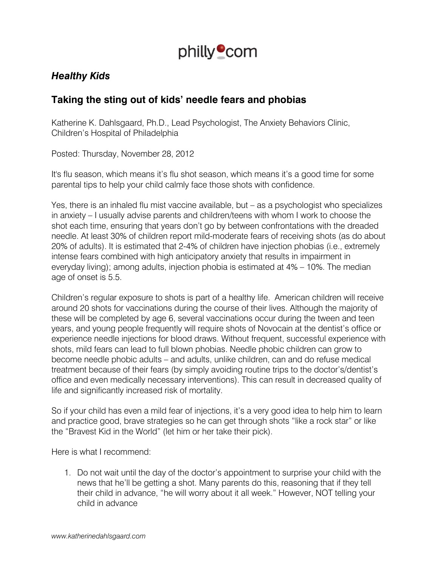

## *Healthy Kids*

## **Taking the sting out of kids' needle fears and phobias**

Katherine K. Dahlsgaard, Ph.D., Lead Psychologist, The Anxiety Behaviors Clinic, Children's Hospital of Philadelphia

Posted: Thursday, November 28, 2012

It's flu season, which means it's flu shot season, which means it's a good time for some parental tips to help your child calmly face those shots with confidence.

Yes, there is an inhaled flu mist vaccine available, but – as a psychologist who specializes in anxiety – I usually advise parents and children/teens with whom I work to choose the shot each time, ensuring that years don't go by between confrontations with the dreaded needle. At least 30% of children report mild-moderate fears of receiving shots (as do about 20% of adults). It is estimated that 2-4% of children have injection phobias (i.e., extremely intense fears combined with high anticipatory anxiety that results in impairment in everyday living); among adults, injection phobia is estimated at 4% – 10%. The median age of onset is 5.5.

Children's regular exposure to shots is part of a healthy life. American children will receive around 20 shots for vaccinations during the course of their lives. Although the majority of these will be completed by age 6, several vaccinations occur during the tween and teen years, and young people frequently will require shots of Novocain at the dentist's office or experience needle injections for blood draws. Without frequent, successful experience with shots, mild fears can lead to full blown phobias. Needle phobic children can grow to become needle phobic adults – and adults, unlike children, can and do refuse medical treatment because of their fears (by simply avoiding routine trips to the doctor's/dentist's office and even medically necessary interventions). This can result in decreased quality of life and significantly increased risk of mortality.

So if your child has even a mild fear of injections, it's a very good idea to help him to learn and practice good, brave strategies so he can get through shots "like a rock star" or like the "Bravest Kid in the World" (let him or her take their pick).

Here is what I recommend:

1. Do not wait until the day of the doctor's appointment to surprise your child with the news that he'll be getting a shot. Many parents do this, reasoning that if they tell their child in advance, "he will worry about it all week." However, NOT telling your child in advance